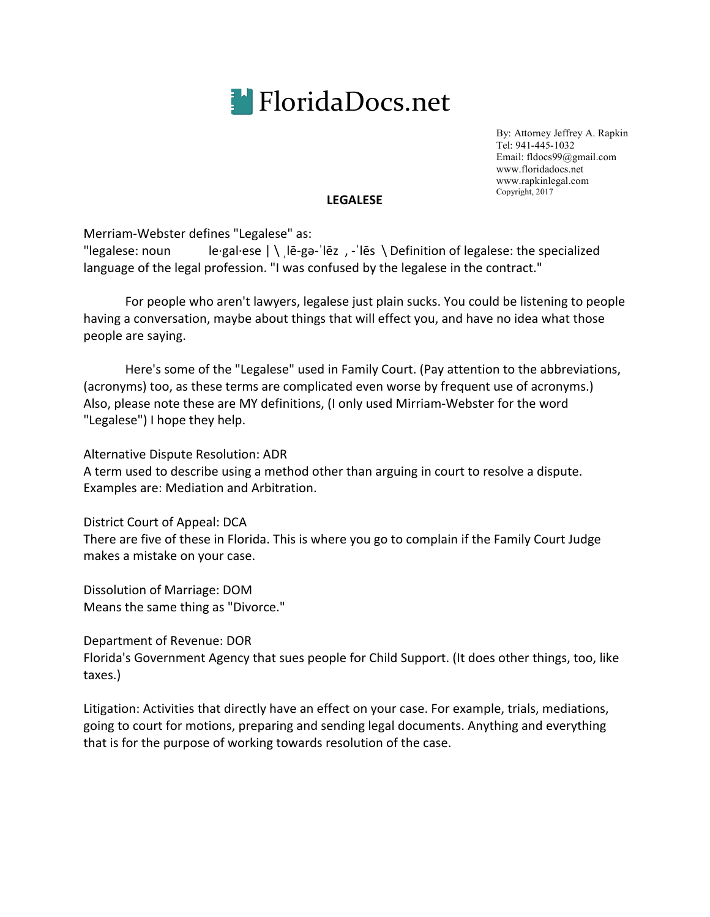

By: Attorney Jeffrey A. Rapkin Tel: 941-445-1032 Email: fldocs99@gmail.com www.floridadocs.net www.rapkinlegal.com Copyright, 2017

#### **LEGALESE**

Merriam-Webster defines "Legalese" as:

"legalese: noun le·gal·ese  $|\n\bigwedge e$  le-ga-'lez , -'les  $\bigwedge$  Definition of legalese: the specialized language of the legal profession. "I was confused by the legalese in the contract."

For people who aren't lawyers, legalese just plain sucks. You could be listening to people having a conversation, maybe about things that will effect you, and have no idea what those people are saying.

Here's some of the "Legalese" used in Family Court. (Pay attention to the abbreviations, (acronyms) too, as these terms are complicated even worse by frequent use of acronyms.) Also, please note these are MY definitions, (I only used Mirriam-Webster for the word "Legalese") I hope they help.

Alternative Dispute Resolution: ADR A term used to describe using a method other than arguing in court to resolve a dispute. Examples are: Mediation and Arbitration.

District Court of Appeal: DCA There are five of these in Florida. This is where you go to complain if the Family Court Judge makes a mistake on your case.

Dissolution of Marriage: DOM Means the same thing as "Divorce."

Department of Revenue: DOR

Florida's Government Agency that sues people for Child Support. (It does other things, too, like taxes.)

Litigation: Activities that directly have an effect on your case. For example, trials, mediations, going to court for motions, preparing and sending legal documents. Anything and everything that is for the purpose of working towards resolution of the case.